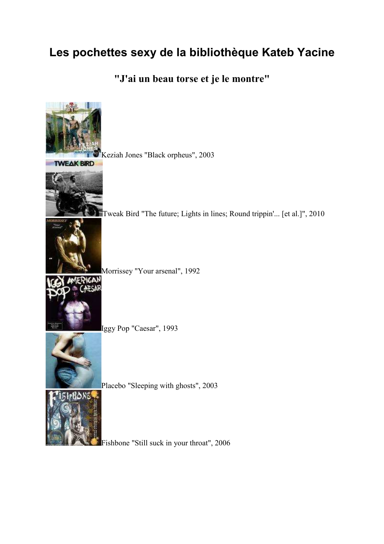# **Les pochettes sexy de la bibliothèque Kateb Yacine**

**"J'ai un beau torse et je le montre"** 



Fishbone "Still suck in your throat", 2006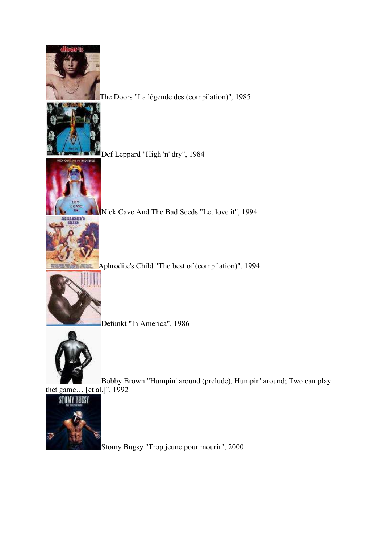

The Doors "La légende des (compilation)", 1985



Def Leppard "High 'n' dry", 1984



Nick Cave And The Bad Seeds "Let love it", 1994



Aphrodite's Child "The best of (compilation)", 1994



Defunkt "In America", 1986



Bobby Brown "Humpin' around (prelude), Humpin' around; Two can play

thet game... [et al.]", 1992



Stomy Bugsy "Trop jeune pour mourir", 2000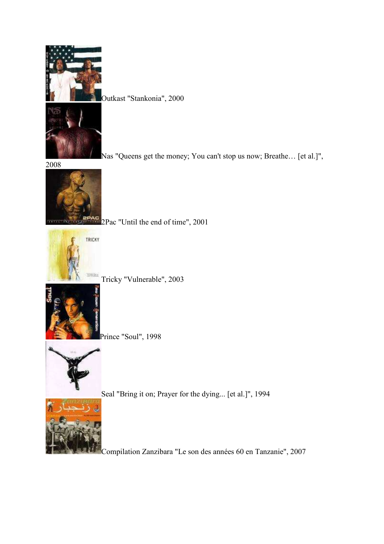

Outkast "Stankonia", 2000

Nas "Queens get the money; You can't stop us now; Breathe… [et al.]",

2008



 $P_{\text{AC}}$  2Pac "Until the end of time", 2001



Tricky "Vulnerable", 2003



Prince "Soul", 1998



Seal "Bring it on; Prayer for the dying... [et al.]", 1994



Compilation Zanzibara "Le son des années 60 en Tanzanie", 2007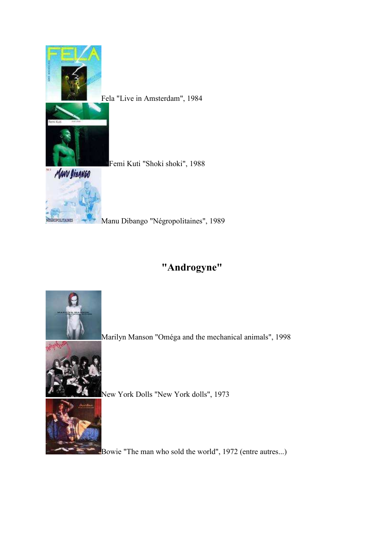

Fela "Live in Amsterdam", 1984

Femi Kuti "Shoki shoki", 1988



Manu Dibango "Négropolitaines", 1989

## **"Androgyne"**



Marilyn Manson "Oméga and the mechanical animals", 1998



New York Dolls "New York dolls", 1973



Bowie "The man who sold the world", 1972 (entre autres...)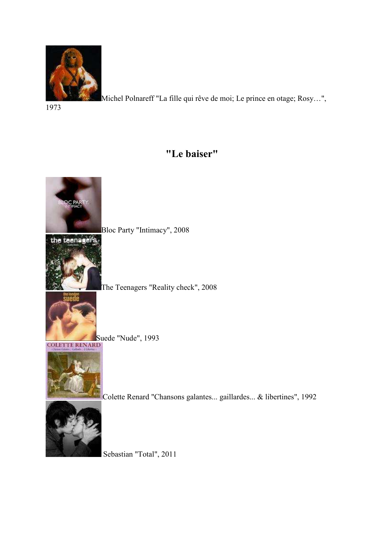

Michel Polnareff "La fille qui rêve de moi; Le prince en otage; Rosy…",

1973

### **"Le baiser"**



Sebastian "Total", 2011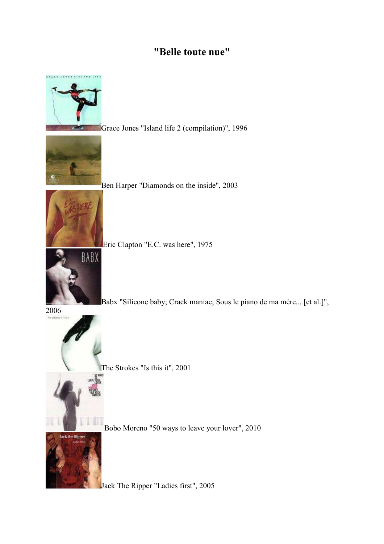#### **"Belle toute nue"**



The Strokes "Is this it", 2001



Bobo Moreno "50 ways to leave your lover", 2010



Jack The Ripper "Ladies first", 2005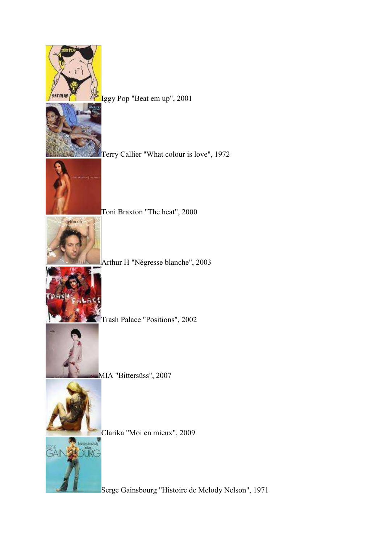| Iggy Pop "Beat em up", 2001                                          |
|----------------------------------------------------------------------|
| Terry Callier "What colour is love", 1972                            |
| Toni Braxton "The heat", 2000                                        |
| mthur h<br>Arthur H "Négresse blanche", 2003                         |
| Trash Palace "Positions", 2002                                       |
| MIA "Bittersüss", 2007                                               |
| Clarika "Moi en mieux", 2009                                         |
| istoire de mei<br>Serge Gainsbourg "Histoire de Melody Nelson", 1971 |
|                                                                      |

٢

● 大事 有一 大人 の 大人 の の の の の の

I

Ę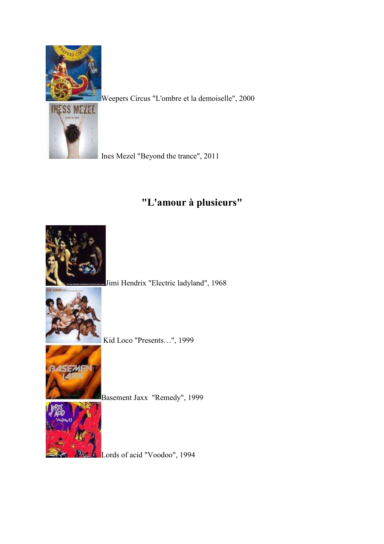

Weepers Circus "L'ombre et la demoiselle", 2000



Ines Mezel "Beyond the trance", 2011

# **"L'amour à plusieurs"**

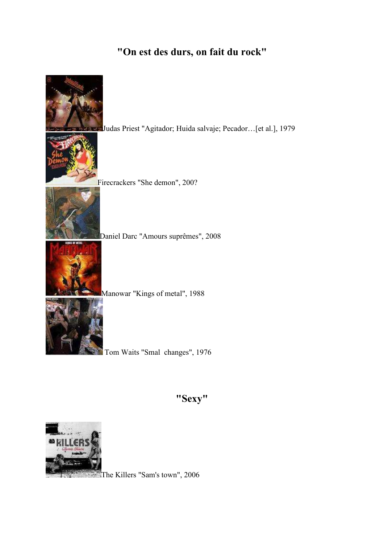## **"On est des durs, on fait du rock"**



**"Sexy"** 



The Killers "Sam's town", 2006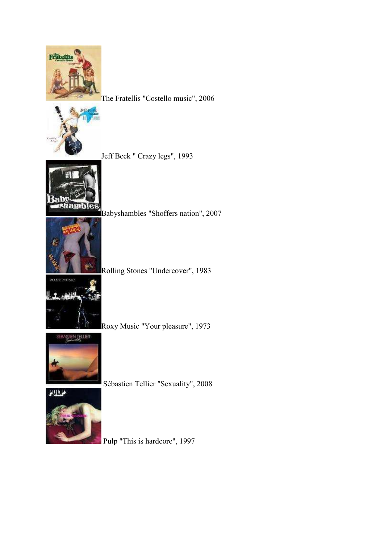

The Fratellis "Costello music", 2006



Jeff Beck " Crazy legs", 1993



Babyshambles "Shoffers nation", 2007



Rolling Stones "Undercover", 1983



Roxy Music "Your pleasure", 1973



Sébastien Tellier "Sexuality", 2008



Pulp "This is hardcore", 1997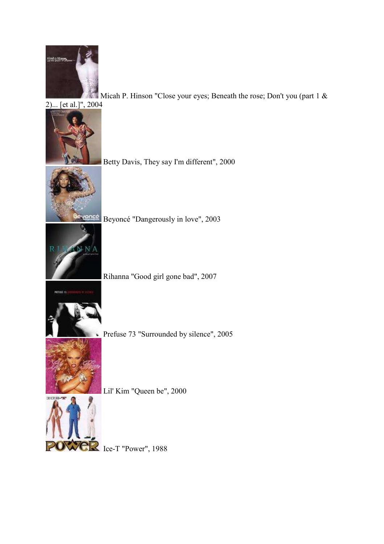

Micah P. Hinson "Close your eyes; Beneath the rose; Don't you (part  $1 \&$ 



Betty Davis, They say I'm different", 2000

Beyoncé "Dangerously in love", 2003

Rihanna "Good girl gone bad", 2007



Prefuse 73 "Surrounded by silence", 2005



Lil' Kim "Queen be", 2000

POWER Ice-T "Power", 1988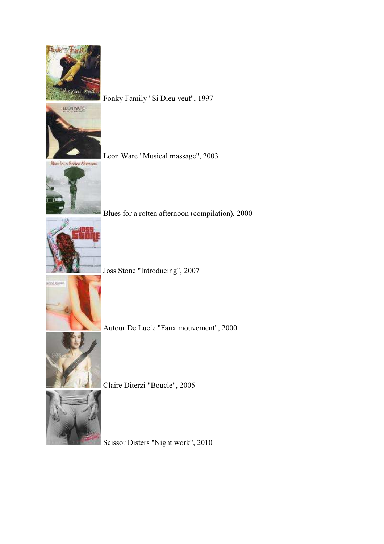

LEON WARE

Fonky Family "Si Dieu veut", 1997

Bluer for a Rotten Afternoon

Leon Ware "Musical massage", 2003



Blues for a rotten afternoon (compilation), 2000



Joss Stone "Introducing", 2007



Autour De Lucie "Faux mouvement", 2000

Claire Diterzi "Boucle", 2005

Scissor Disters "Night work", 2010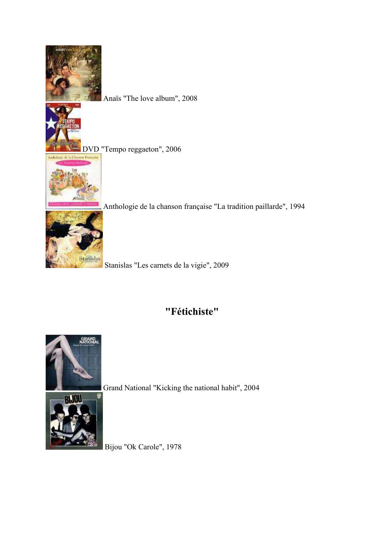

Anaïs "The love album", 2008

**DVD** "Tempo reggaeton", 2006



Anthologie de la chanson française "La tradition paillarde", 1994



Stanislas "Les carnets de la vigie", 2009

### **"Fétichiste"**



Grand National "Kicking the national habit", 2004



Bijou "Ok Carole", 1978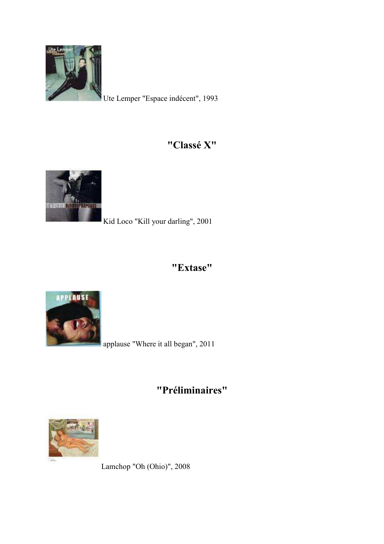

Ute Lemper "Espace indécent", 1993

#### **"Classé X"**



Kid Loco "Kill your darling", 2001

### **"Extase"**



applause "Where it all began", 2011

**"Préliminaires"** 



Lamchop "Oh (Ohio)", 2008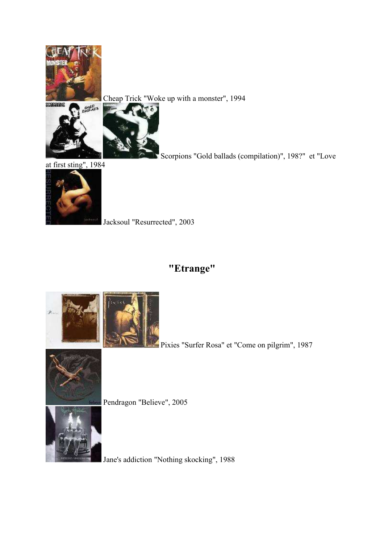

Cheap Trick "Woke up with a monster", 1994



Scorpions "Gold ballads (compilation)", 198?" et "Love

at first sting", 1984



Jacksoul "Resurrected", 2003

## **"Etrange"**



Pixies "Surfer Rosa" et "Come on pilgrim", 1987



Pendragon "Believe", 2005



Jane's addiction "Nothing skocking", 1988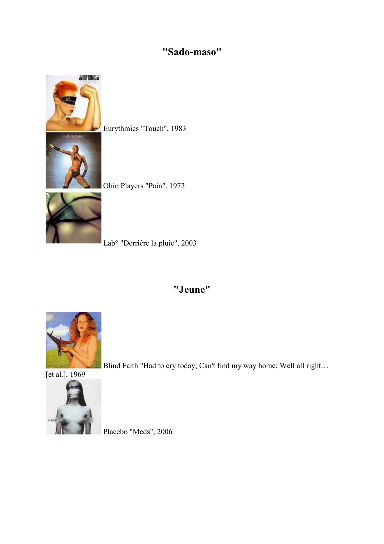## **"Sado-maso"**



Eurythmics "Touch", 1983

Ohio Players "Pain", 1972



Lab° "Derrière la pluie", 2003

#### **"Jeune"**



Blind Faith "Had to cry today; Can't find my way home; Well all right...



Placebo "Meds", 2006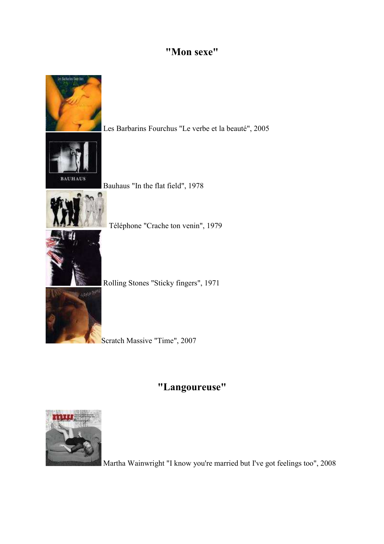#### **"Mon sexe"**



#### **"Langoureuse"**



Martha Wainwright "I know you're married but I've got feelings too", 2008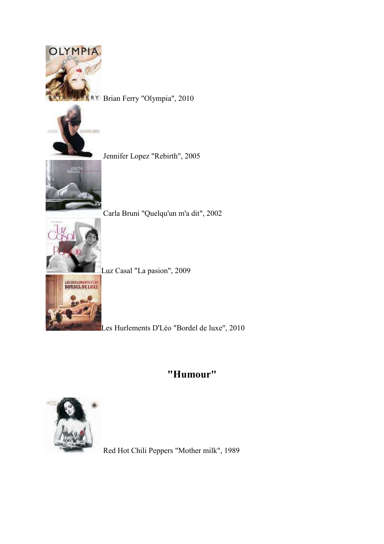

BRY Brian Ferry "Olympia", 2010



Jennifer Lopez "Rebirth", 2005



Carla Bruni "Quelqu'un m'a dit", 2002

Luz Casal "La pasion", 2009



Les Hurlements D'Léo "Bordel de luxe", 2010

### **"Humour"**



Red Hot Chili Peppers "Mother milk", 1989